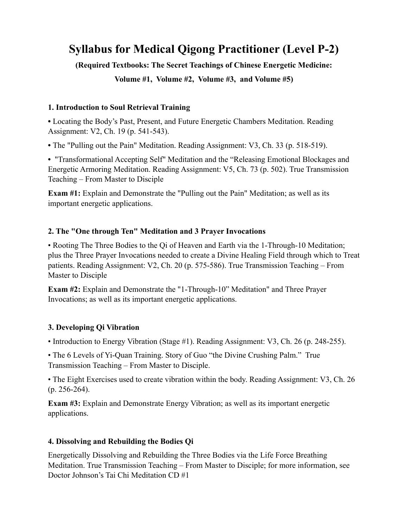# **Syllabus for Medical Qigong Practitioner (Level P-2)**

# **(Required Textbooks: The Secret Teachings of Chinese Energetic Medicine:**

**Volume #1, Volume #2, Volume #3, and Volume #5)**

### **1. Introduction to Soul Retrieval Training**

**•** Locating the Body's Past, Present, and Future Energetic Chambers Meditation. Reading Assignment: V2, Ch. 19 (p. 541-543).

**•** The "Pulling out the Pain" Meditation. Reading Assignment: V3, Ch. 33 (p. 518-519).

**•** "Transformational Accepting Self" Meditation and the "Releasing Emotional Blockages and Energetic Armoring Meditation. Reading Assignment: V5, Ch. 73 (p. 502). True Transmission Teaching – From Master to Disciple

**Exam #1:** Explain and Demonstrate the "Pulling out the Pain" Meditation; as well as its important energetic applications.

# **2. The "One through Ten" Meditation and 3 Prayer Invocations**

• Rooting The Three Bodies to the Qi of Heaven and Earth via the 1-Through-10 Meditation; plus the Three Prayer Invocations needed to create a Divine Healing Field through which to Treat patients. Reading Assignment: V2, Ch. 20 (p. 575-586). True Transmission Teaching – From Master to Disciple

**Exam #2:** Explain and Demonstrate the "1-Through-10" Meditation" and Three Prayer Invocations; as well as its important energetic applications.

# **3. Developing Qi Vibration**

• Introduction to Energy Vibration (Stage #1). Reading Assignment: V3, Ch. 26 (p. 248-255).

• The 6 Levels of Yi-Quan Training. Story of Guo "the Divine Crushing Palm." True Transmission Teaching – From Master to Disciple.

• The Eight Exercises used to create vibration within the body. Reading Assignment: V3, Ch. 26 (p. 256-264).

**Exam #3:** Explain and Demonstrate Energy Vibration; as well as its important energetic applications.

# **4. Dissolving and Rebuilding the Bodies Qi**

Energetically Dissolving and Rebuilding the Three Bodies via the Life Force Breathing Meditation. True Transmission Teaching – From Master to Disciple; for more information, see Doctor Johnson's Tai Chi Meditation CD #1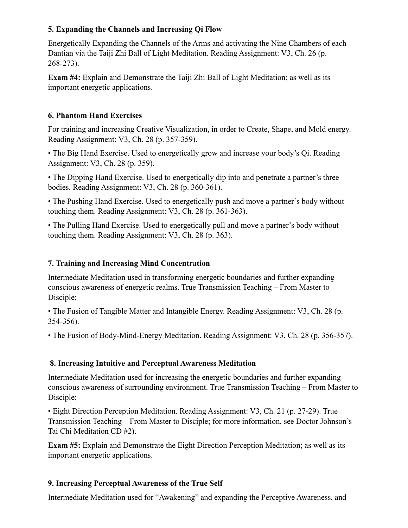# **5. Expanding the Channels and Increasing Qi Flow**

Energetically Expanding the Channels of the Arms and activating the Nine Chambers of each Dantian via the Taiji Zhi Ball of Light Meditation. Reading Assignment: V3, Ch. 26 (p. 268-273).

**Exam #4:** Explain and Demonstrate the Taiji Zhi Ball of Light Meditation; as well as its important energetic applications.

### **6. Phantom Hand Exercises**

For training and increasing Creative Visualization, in order to Create, Shape, and Mold energy. Reading Assignment: V3, Ch. 28 (p. 357-359).

• The Big Hand Exercise. Used to energetically grow and increase your body's Qi. Reading Assignment: V3, Ch. 28 (p. 359).

• The Dipping Hand Exercise. Used to energetically dip into and penetrate a partner's three bodies. Reading Assignment: V3, Ch. 28 (p. 360-361).

• The Pushing Hand Exercise. Used to energetically push and move a partner's body without touching them. Reading Assignment: V3, Ch. 28 (p. 361-363).

• The Pulling Hand Exercise. Used to energetically pull and move a partner's body without touching them. Reading Assignment: V3, Ch. 28 (p. 363).

#### **7. Training and Increasing Mind Concentration**

Intermediate Meditation used in transforming energetic boundaries and further expanding conscious awareness of energetic realms. True Transmission Teaching – From Master to Disciple;

• The Fusion of Tangible Matter and Intangible Energy. Reading Assignment: V3, Ch. 28 (p. 354-356).

• The Fusion of Body-Mind-Energy Meditation. Reading Assignment: V3, Ch. 28 (p. 356-357).

# **8. Increasing Intuitive and Perceptual Awareness Meditation**

Intermediate Meditation used for increasing the energetic boundaries and further expanding conscious awareness of surrounding environment. True Transmission Teaching – From Master to Disciple;

• Eight Direction Perception Meditation. Reading Assignment: V3, Ch. 21 (p. 27-29). True Transmission Teaching – From Master to Disciple; for more information, see Doctor Johnson's Tai Chi Meditation CD #2).

**Exam #5:** Explain and Demonstrate the Eight Direction Perception Meditation; as well as its important energetic applications.

# **9. Increasing Perceptual Awareness of the True Self**

Intermediate Meditation used for "Awakening" and expanding the Perceptive Awareness, and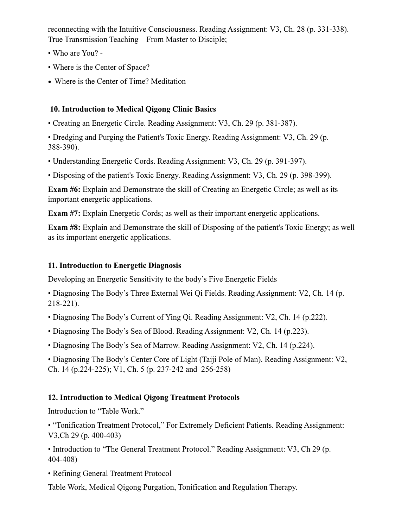reconnecting with the Intuitive Consciousness. Reading Assignment: V3, Ch. 28 (p. 331-338). True Transmission Teaching – From Master to Disciple;

- Who are You? -
- Where is the Center of Space?
- Where is the Center of Time? Meditation

#### **10. Introduction to Medical Qigong Clinic Basics**

• Creating an Energetic Circle. Reading Assignment: V3, Ch. 29 (p. 381-387).

• Dredging and Purging the Patient's Toxic Energy. Reading Assignment: V3, Ch. 29 (p. 388-390).

- Understanding Energetic Cords. Reading Assignment: V3, Ch. 29 (p. 391-397).
- Disposing of the patient's Toxic Energy. Reading Assignment: V3, Ch. 29 (p. 398-399).

**Exam #6:** Explain and Demonstrate the skill of Creating an Energetic Circle; as well as its important energetic applications.

**Exam #7:** Explain Energetic Cords; as well as their important energetic applications.

**Exam #8:** Explain and Demonstrate the skill of Disposing of the patient's Toxic Energy; as well as its important energetic applications.

### **11. Introduction to Energetic Diagnosis**

Developing an Energetic Sensitivity to the body's Five Energetic Fields

• Diagnosing The Body's Three External Wei Qi Fields. Reading Assignment: V2, Ch. 14 (p. 218-221).

- Diagnosing The Body's Current of Ying Qi. Reading Assignment: V2, Ch. 14 (p.222).
- Diagnosing The Body's Sea of Blood. Reading Assignment: V2, Ch. 14 (p.223).
- Diagnosing The Body's Sea of Marrow. Reading Assignment: V2, Ch. 14 (p.224).

• Diagnosing The Body's Center Core of Light (Taiji Pole of Man). Reading Assignment: V2, Ch. 14 (p.224-225); V1, Ch. 5 (p. 237-242 and 256-258)

# **12. Introduction to Medical Qigong Treatment Protocols**

Introduction to "Table Work."

• "Tonification Treatment Protocol," For Extremely Deficient Patients. Reading Assignment: V3,Ch 29 (p. 400-403)

• Introduction to "The General Treatment Protocol." Reading Assignment: V3, Ch 29 (p. 404-408)

• Refining General Treatment Protocol

Table Work, Medical Qigong Purgation, Tonification and Regulation Therapy.